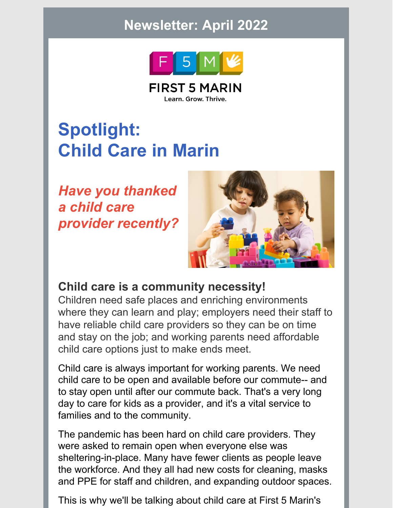## **Newsletter: April 2022**



**FIRST 5 MARIN** Learn. Grow. Thrive.

# **Spotlight: Child Care in Marin**

*Have you thanked a child care provider recently?*



### **Child care is a community necessity!**

Children need safe places and enriching environments where they can learn and play; employers need their staff to have reliable child care providers so they can be on time and stay on the job; and working parents need affordable child care options just to make ends meet.

Child care is always important for working parents. We need child care to be open and available before our commute-- and to stay open until after our commute back. That's a very long day to care for kids as a provider, and it's a vital service to families and to the community.

The pandemic has been hard on child care providers. They were asked to remain open when everyone else was sheltering-in-place. Many have fewer clients as people leave the workforce. And they all had new costs for cleaning, masks and PPE for staff and children, and expanding outdoor spaces.

This is why we'll be talking about child care at First 5 Marin's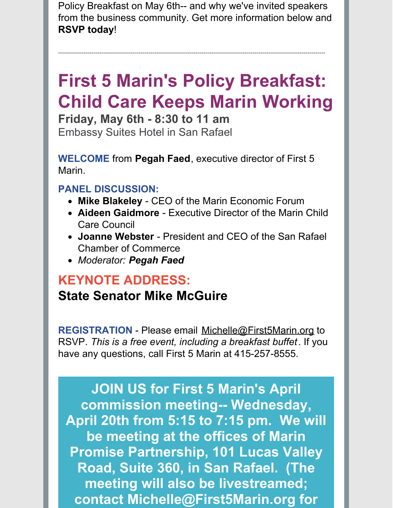Policy Breakfast on May 6th-- and why we've invited speakers from the business community. Get more information below and **RSVP today**!

----------------------------------------------------------------------------------------------------------------------------------------

# **First 5 Marin's Policy Breakfast: Child Care Keeps Marin Working**

**Friday, May 6th - 8:30 to 11 am** Embassy Suites Hotel in San Rafael

**WELCOME** from **Pegah Faed**, executive director of First 5 Marin.

### **PANEL DISCUSSION:**

- **Mike Blakeley** CEO of the Marin Economic Forum
- **Aideen Gaidmore** Executive Director of the Marin Child Care Council
- **Joanne Webster** President and CEO of the San Rafael Chamber of Commerce
- *Moderator: Pegah Faed*

### **KEYNOTE ADDRESS: State Senator Mike McGuire**

**REGISTRATION** - Please email [Michelle@First5Marin.org](mailto:Michelle@First5Marin.org) to RSVP. *This is a free event, including a breakfast buffet*. If you have any questions, call First 5 Marin at 415-257-8555.

**JOIN US for First 5 Marin's April commission meeting-- Wednesday, April 20th from 5:15 to 7:15 pm. We will be meeting at the offices of Marin Promise Partnership, 101 Lucas Valley Road, Suite 360, in San Rafael. (The meeting will also be livestreamed; contact [Michelle@First5Marin.org](mailto:Michelle@First5Marin.org) for**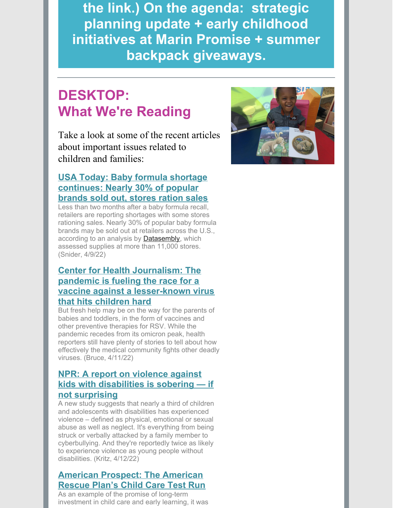**the link.) On the agenda: strategic planning update + early childhood initiatives at Marin Promise + summer backpack giveaways.**

### **DESKTOP: What We're Reading**

Take a look at some of the recent articles about important issues related to children and families:

#### **USA Today: Baby formula shortage [continues:](https://ccfc.us20.list-manage.com/track/click?u=135e2a604badf97829b72ff0d&id=17af8c3747&e=94a7f6b3b5) Nearly 30% of popular brands sold out, stores ration sales**

Less than two months after a baby formula recall, retailers are reporting shortages with some stores rationing sales. Nearly 30% of popular baby formula brands may be sold out at retailers across the U.S., according to an analysis by **[Datasembly](https://ccfc.us20.list-manage.com/track/click?u=135e2a604badf97829b72ff0d&id=7ced5cf8a6&e=94a7f6b3b5)**, which assessed supplies at more than 11,000 stores. (Snider, 4/9/22)

#### **Center for Health Journalism: The pandemic is fueling the race for a vaccine against a [lesser-known](https://ccfc.us20.list-manage.com/track/click?u=135e2a604badf97829b72ff0d&id=6e24f601c7&e=94a7f6b3b5) virus that hits children hard**

But fresh help may be on the way for the parents of babies and toddlers, in the form of vaccines and other preventive therapies for RSV. While the pandemic recedes from its omicron peak, health reporters still have plenty of stories to tell about how effectively the medical community fights other deadly viruses. (Bruce, 4/11/22)

#### **NPR: A report on violence against kids with [disabilities](https://ccfc.us20.list-manage.com/track/click?u=135e2a604badf97829b72ff0d&id=0b41c52a56&e=94a7f6b3b5) is sobering — if not surprising**

A new study suggests that nearly a third of children and adolescents with disabilities has experienced violence – defined as physical, emotional or sexual abuse as well as neglect. It's everything from being struck or verbally attacked by a family member to cyberbullying. And they're reportedly twice as likely to experience violence as young people without disabilities. (Kritz, 4/12/22)

#### **American [Prospect:](https://ccfc.us20.list-manage.com/track/click?u=135e2a604badf97829b72ff0d&id=6bfacd2af6&e=94a7f6b3b5) The American Rescue Plan's Child Care Test Run**

As an example of the promise of long-term investment in child care and early learning, it was